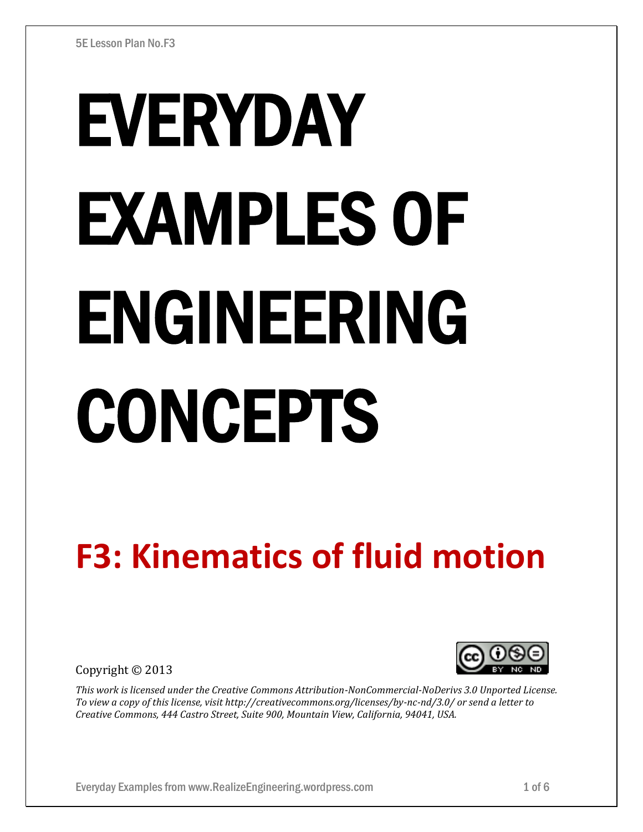# EVERYDAY EXAMPLES OF ENGINEERING CONCEPTS

# **F3: Kinematics of fluid motion**

Copyright © 2013



*This work is licensed under the Creative Commons Attribution-NonCommercial-NoDerivs 3.0 Unported License. To view a copy of this license, visit http://creativecommons.org/licenses/by-nc-nd/3.0/ or send a letter to Creative Commons, 444 Castro Street, Suite 900, Mountain View, California, 94041, USA.*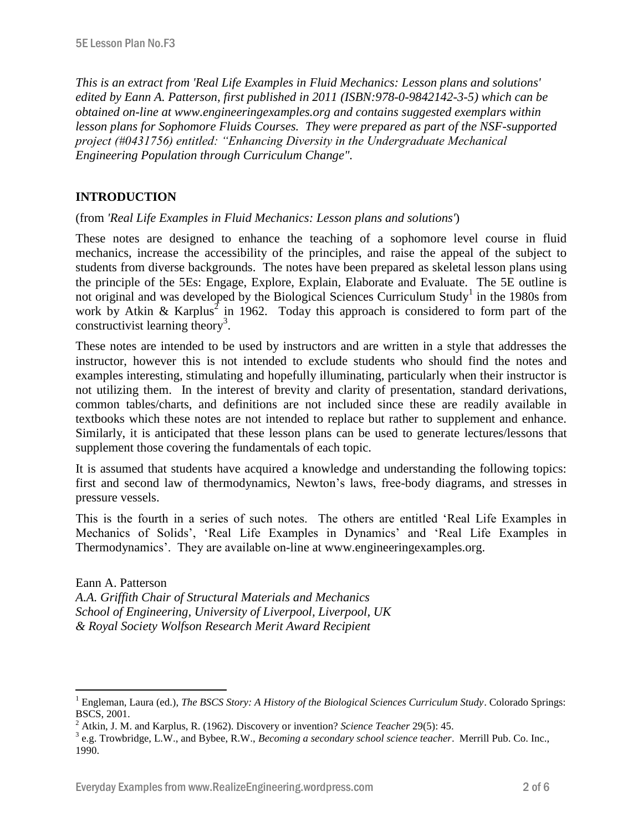*This is an extract from 'Real Life Examples in Fluid Mechanics: Lesson plans and solutions' edited by Eann A. Patterson, first published in 2011 (ISBN:978-0-9842142-3-5) which can be obtained on-line at www.engineeringexamples.org and contains suggested exemplars within lesson plans for Sophomore Fluids Courses. They were prepared as part of the NSF-supported project (#0431756) entitled: "Enhancing Diversity in the Undergraduate Mechanical Engineering Population through Curriculum Change".* 

# **INTRODUCTION**

 $\overline{a}$ 

(from *'Real Life Examples in Fluid Mechanics: Lesson plans and solutions'*)

These notes are designed to enhance the teaching of a sophomore level course in fluid mechanics, increase the accessibility of the principles, and raise the appeal of the subject to students from diverse backgrounds. The notes have been prepared as skeletal lesson plans using the principle of the 5Es: Engage, Explore, Explain, Elaborate and Evaluate. The 5E outline is not original and was developed by the Biological Sciences Curriculum Study<sup>1</sup> in the 1980s from work by Atkin & Karplus<sup>2</sup> in 1962. Today this approach is considered to form part of the constructivist learning theory<sup>3</sup>.

These notes are intended to be used by instructors and are written in a style that addresses the instructor, however this is not intended to exclude students who should find the notes and examples interesting, stimulating and hopefully illuminating, particularly when their instructor is not utilizing them. In the interest of brevity and clarity of presentation, standard derivations, common tables/charts, and definitions are not included since these are readily available in textbooks which these notes are not intended to replace but rather to supplement and enhance. Similarly, it is anticipated that these lesson plans can be used to generate lectures/lessons that supplement those covering the fundamentals of each topic.

It is assumed that students have acquired a knowledge and understanding the following topics: first and second law of thermodynamics, Newton's laws, free-body diagrams, and stresses in pressure vessels.

This is the fourth in a series of such notes. The others are entitled 'Real Life Examples in Mechanics of Solids', 'Real Life Examples in Dynamics' and 'Real Life Examples in Thermodynamics'. They are available on-line at www.engineeringexamples.org.

Eann A. Patterson *A.A. Griffith Chair of Structural Materials and Mechanics School of Engineering, University of Liverpool, Liverpool, UK & Royal Society Wolfson Research Merit Award Recipient*

<sup>&</sup>lt;sup>1</sup> Engleman, Laura (ed.), *The BSCS Story: A History of the Biological Sciences Curriculum Study*. Colorado Springs: BSCS, 2001.

<sup>2</sup> Atkin, J. M. and Karplus, R. (1962). Discovery or invention? *Science Teacher* 29(5): 45.

<sup>3</sup> e.g. Trowbridge, L.W., and Bybee, R.W., *Becoming a secondary school science teacher*. Merrill Pub. Co. Inc., 1990.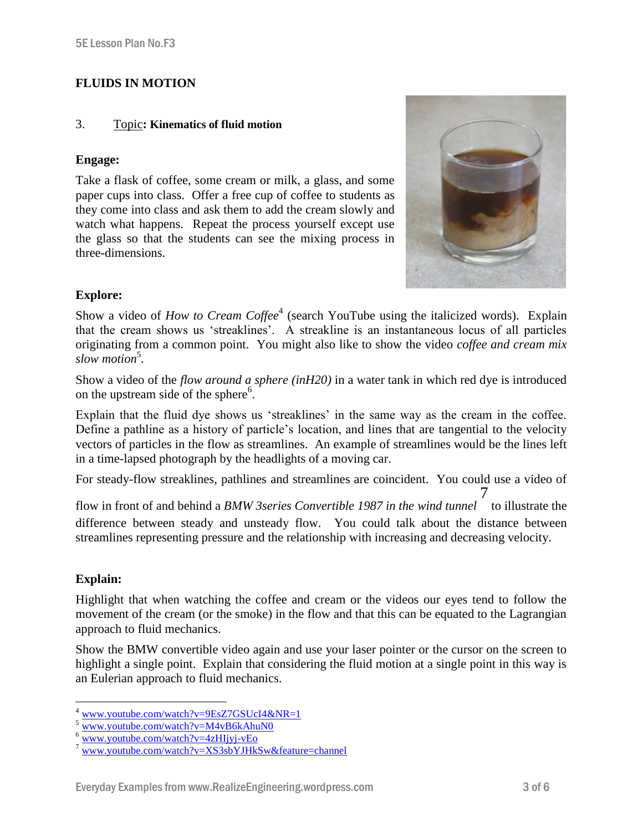# **FLUIDS IN MOTION**

#### 3. Topic**: Kinematics of fluid motion**

#### **Engage:**

Take a flask of coffee, some cream or milk, a glass, and some paper cups into class. Offer a free cup of coffee to students as they come into class and ask them to add the cream slowly and watch what happens. Repeat the process yourself except use the glass so that the students can see the mixing process in three-dimensions.



# **Explore:**

Show a video of *How to Cream Coffee*<sup>4</sup> (search YouTube using the italicized words). Explain that the cream shows us 'streaklines'. A streakline is an instantaneous locus of all particles originating from a common point. You might also like to show the video *coffee and cream mix*  slow motion<sup>5</sup>.

Show a video of the *flow around a sphere (inH20)* in a water tank in which red dye is introduced on the upstream side of the sphere<sup>6</sup>.

Explain that the fluid dye shows us 'streaklines' in the same way as the cream in the coffee. Define a pathline as a history of particle's location, and lines that are tangential to the velocity vectors of particles in the flow as streamlines. An example of streamlines would be the lines left in a time-lapsed photograph by the headlights of a moving car.

For steady-flow streaklines, pathlines and streamlines are coincident. You could use a video of

flow in front of and behind a *BMW 3series Convertible 1987 in the wind tunnel* 7 to illustrate the difference between steady and unsteady flow. You could talk about the distance between streamlines representing pressure and the relationship with increasing and decreasing velocity.

#### **Explain:**

Highlight that when watching the coffee and cream or the videos our eyes tend to follow the movement of the cream (or the smoke) in the flow and that this can be equated to the Lagrangian approach to fluid mechanics.

Show the BMW convertible video again and use your laser pointer or the cursor on the screen to highlight a single point. Explain that considering the fluid motion at a single point in this way is an Eulerian approach to fluid mechanics.

 $\overline{a}$ <sup>4</sup> [www.youtube.com/watch?v=9EsZ7GSUcI4&NR=1](http://www.youtube.com/watch?v=9EsZ7GSUcI4&NR=1)

[www.youtube.com/watch?v=M4vB6kAhuN0](http://www.youtube.com/watch?v=M4vB6kAhuN0)

 $\overline{\text{www.voutube.com/watch?v=4zH1ivi-vEo}}$ 

<sup>7</sup> [www.youtube.com/watch?v=XS3sbYJHkSw&feature=channel](http://www.youtube.com/watch?v=XS3sbYJHkSw&feature=channel)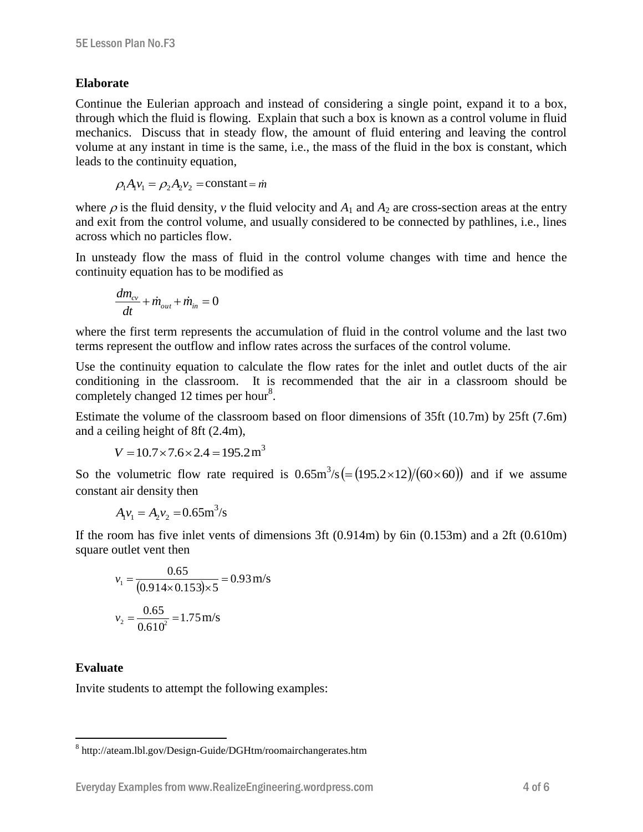#### **Elaborate**

Continue the Eulerian approach and instead of considering a single point, expand it to a box, through which the fluid is flowing. Explain that such a box is known as a control volume in fluid mechanics. Discuss that in steady flow, the amount of fluid entering and leaving the control volume at any instant in time is the same, i.e., the mass of the fluid in the box is constant, which leads to the continuity equation,

$$
\rho_1 A_1 v_1 = \rho_2 A_2 v_2 = \text{constant} = \dot{m}
$$

where  $\rho$  is the fluid density, *v* the fluid velocity and  $A_1$  and  $A_2$  are cross-section areas at the entry and exit from the control volume, and usually considered to be connected by pathlines, i.e., lines across which no particles flow.

In unsteady flow the mass of fluid in the control volume changes with time and hence the continuity equation has to be modified as

$$
\frac{dm_{cv}}{dt} + \dot{m}_{out} + \dot{m}_{in} = 0
$$

where the first term represents the accumulation of fluid in the control volume and the last two terms represent the outflow and inflow rates across the surfaces of the control volume.

Use the continuity equation to calculate the flow rates for the inlet and outlet ducts of the air conditioning in the classroom. It is recommended that the air in a classroom should be completely changed 12 times per hour<sup>8</sup>.

Estimate the volume of the classroom based on floor dimensions of 35ft (10.7m) by 25ft (7.6m) and a ceiling height of 8ft (2.4m),

$$
V = 10.7 \times 7.6 \times 2.4 = 195.2 \,\mathrm{m}^3
$$

So the volumetric flow rate required is  $0.65 \text{m}^3/\text{s} (= (195.2 \times 12)/(60 \times 60))$  and if we assume constant air density then

$$
A_1v_1 = A_2v_2 = 0.65 \text{m}^3/\text{s}
$$

If the room has five inlet vents of dimensions 3ft  $(0.914m)$  by 6in  $(0.153m)$  and a 2ft  $(0.610m)$ square outlet vent then

$$
v_1 = \frac{0.65}{(0.914 \times 0.153) \times 5} = 0.93 \text{ m/s}
$$

$$
v_2 = \frac{0.65}{0.610^2} = 1.75 \text{ m/s}
$$

#### **Evaluate**

 $\overline{a}$ 

Invite students to attempt the following examples:

<sup>&</sup>lt;sup>8</sup> http://ateam.lbl.gov/Design-Guide/DGHtm/roomairchangerates.htm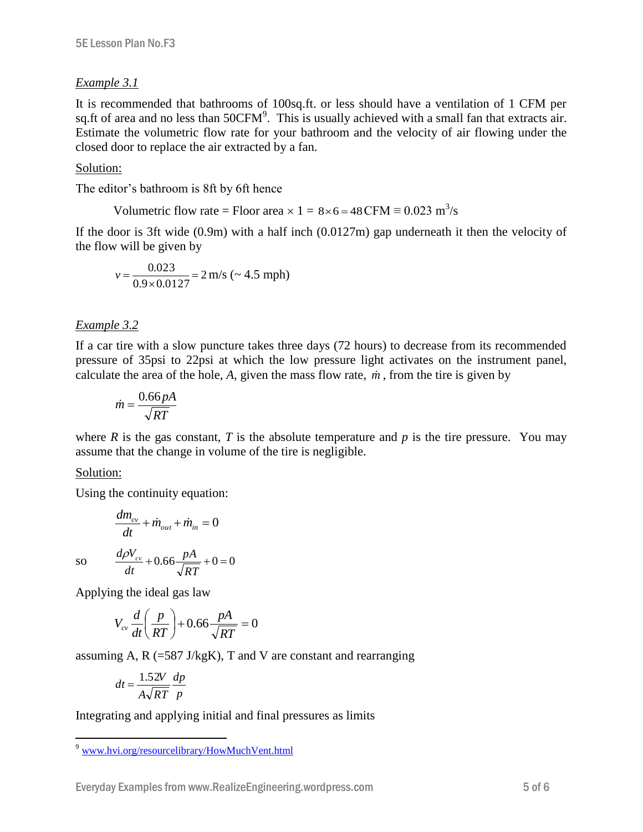# *Example 3.1*

It is recommended that bathrooms of 100sq.ft. or less should have a ventilation of 1 CFM per sq.ft of area and no less than  $50CFM<sup>9</sup>$ . This is usually achieved with a small fan that extracts air. Estimate the volumetric flow rate for your bathroom and the velocity of air flowing under the closed door to replace the air extracted by a fan.

### Solution:

The editor's bathroom is 8ft by 6ft hence

Volumetric flow rate = Floor area × 1 = 
$$
8 \times 6 = 48
$$
 CFM  $\equiv 0.023$  m<sup>3</sup>/s

If the door is 3ft wide (0.9m) with a half inch (0.0127m) gap underneath it then the velocity of the flow will be given by

$$
v = \frac{0.023}{0.9 \times 0.0127} = 2 \text{ m/s } (\sim 4.5 \text{ mph})
$$

# *Example 3.2*

If a car tire with a slow puncture takes three days (72 hours) to decrease from its recommended pressure of 35psi to 22psi at which the low pressure light activates on the instrument panel, calculate the area of the hole,  $A$ , given the mass flow rate,  $\dot{m}$ , from the tire is given by

$$
\dot{m} = \frac{0.66 \, pA}{\sqrt{RT}}
$$

where *R* is the gas constant, *T* is the absolute temperature and *p* is the tire pressure. You may assume that the change in volume of the tire is negligible.

#### Solution:

Using the continuity equation:

$$
\frac{dm_{cv}}{dt} + \dot{m}_{out} + \dot{m}_{in} = 0
$$

so

$$
\frac{d\rho V_{cv}}{dt} + 0.66 \frac{pA}{\sqrt{RT}} + 0 = 0
$$

Applying the ideal gas law

$$
V_{cv} \frac{d}{dt} \left( \frac{p}{RT} \right) + 0.66 \frac{pA}{\sqrt{RT}} = 0
$$

assuming A,  $R$  (=587 J/kgK), T and V are constant and rearranging

$$
dt = \frac{1.52V}{A\sqrt{RT}}\frac{dp}{p}
$$

Integrating and applying initial and final pressures as limits

 $\overline{a}$ <sup>9</sup> [www.hvi.org/resourcelibrary/HowMuchVent.html](http://www.hvi.org/resourcelibrary/HowMuchVent.html)